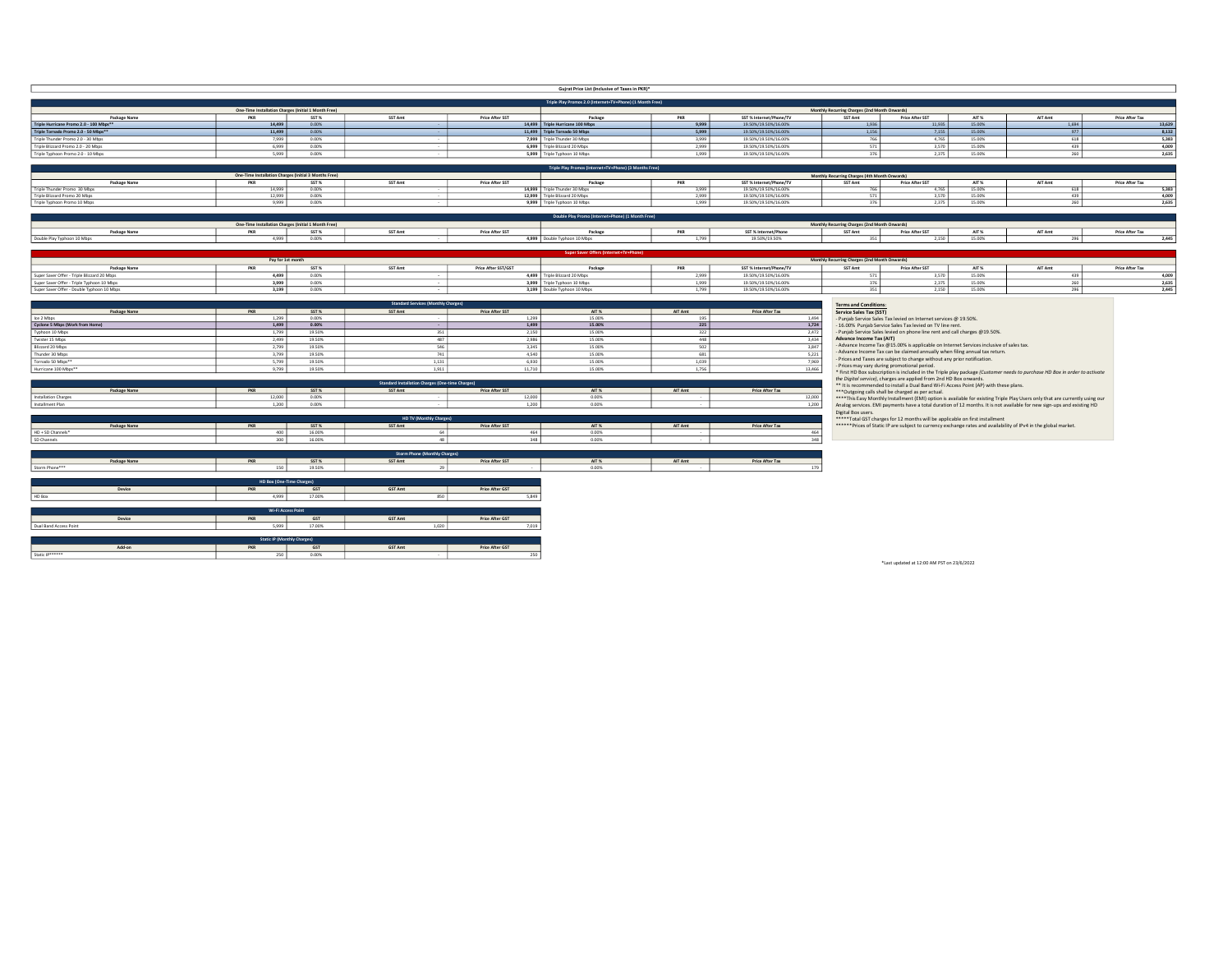|                                                                                                                                                                                    |                                                             |                            |                                            | Gujrat Price List (Inclusive of Taxes in PKR)*<br>Triple Play Promos 2.0 (Internet+TV+Phone) (1 Month Free) |                                                                |                                                                                                                                                                                                                                                                 |            |                 |
|------------------------------------------------------------------------------------------------------------------------------------------------------------------------------------|-------------------------------------------------------------|----------------------------|--------------------------------------------|-------------------------------------------------------------------------------------------------------------|----------------------------------------------------------------|-----------------------------------------------------------------------------------------------------------------------------------------------------------------------------------------------------------------------------------------------------------------|------------|-----------------|
|                                                                                                                                                                                    | One-Time Installation Charges (Initial 1 Month Free)        |                            |                                            |                                                                                                             |                                                                | Monthly Recurring Charges (2nd Month Onwards)                                                                                                                                                                                                                   |            |                 |
| <b>Package Name</b>                                                                                                                                                                | PKR                                                         | SST%                       | SST Amt                                    | Price After SST<br>Package                                                                                  | PKR<br>SST % Internet/Phone/TV                                 | SST Amt<br>Price After SST<br>AIT %                                                                                                                                                                                                                             | AIT Amt    | Price After Tax |
| Triple Hurricane Promo 2.0 - 100 Mbps**                                                                                                                                            | 14,499<br>11,499                                            | 0.00%                      |                                            | 14,499 Triple Hurricane 100 Mbps                                                                            | 19.50%/19.50%/16.00%<br>9.999                                  | 15,00%<br>1.936<br>11.935<br>7.155                                                                                                                                                                                                                              | 1.694      |                 |
| Triple Tornado Promo 2.0 - 50 Mbps**<br>Triple Thunder Promo 2.0 - 30 Mbps                                                                                                         | 7,999                                                       | 0.00%<br>0.00%             |                                            | 11,499 Triple Tornado 50 Mbps<br>7,999 Triple Thunder 30 Mbps                                               | 5,999<br>19.50%/19.50%/16.00%<br>3,999<br>19.50%/19.50%/16.00% | 1,156<br>15.00%<br>15.00%<br>4,765<br>766                                                                                                                                                                                                                       | 977<br>618 |                 |
| Triple Blizzard Promo 2.0 - 20 Mbos                                                                                                                                                | 6.999                                                       | 0.00%                      |                                            | 6.999 Triple Blizzard 20 Mbos                                                                               | 2,999<br>19.50%/19.50%/16.00%                                  | 3.570<br>15,00%<br>571                                                                                                                                                                                                                                          | 439        |                 |
| Triple Typhoon Promo 2.0 - 10 Mbps                                                                                                                                                 | 5,999                                                       | $0.00\%$                   |                                            | 5,999 Triple Typhoon 10 Mbps                                                                                | 1,999<br>19.50%/19.50%/16.00%                                  | 376<br>2,375<br>15.00%                                                                                                                                                                                                                                          | 260        |                 |
|                                                                                                                                                                                    |                                                             |                            |                                            | Triple Play Promos (Internet+TV+Phone) (3 Mont                                                              |                                                                |                                                                                                                                                                                                                                                                 |            |                 |
|                                                                                                                                                                                    | One-Time Installation Charges (Initial 3 Months Free)       |                            |                                            |                                                                                                             |                                                                | Monthly Recurring Charges (4th Month Onwards)                                                                                                                                                                                                                   |            |                 |
| Package Name                                                                                                                                                                       | PKR                                                         | SST <sub>%</sub>           | SST Amt                                    | <b>Price After SST</b><br>Package                                                                           | PKR<br>SST % Internet/Phone/TV                                 | AIT %<br>SST Amt<br><b>Price After SST</b>                                                                                                                                                                                                                      | AIT Amt    | Price After Tax |
| Triple Thunder Promo 30 Mbps                                                                                                                                                       | 14 999                                                      | 0.00%                      |                                            | 14,999 Triple Thunder 30 Mbps                                                                               | 3 999<br>19.50%/19.50%/16.00%                                  | 766<br>4.765<br>15,00%                                                                                                                                                                                                                                          | 618        |                 |
| Triple Blizzard Promo 20 Mbps<br>Triple Typhoon Promo 10 Mbps                                                                                                                      | 12.999<br>9.999                                             | 0.00%<br>0.00%             |                                            | 12,999 Triple Blizzard 20 Mbps<br>9.999 Triple Typhoon 10 Mbps                                              | 2.999<br>19.50%/19.50%/16.00%<br>1,999<br>19.50%/19.50%/16.00% | 571<br>3.570<br>15,00%<br>376<br>2.375<br>15.00%                                                                                                                                                                                                                | 439<br>260 |                 |
|                                                                                                                                                                                    |                                                             |                            |                                            |                                                                                                             |                                                                |                                                                                                                                                                                                                                                                 |            |                 |
|                                                                                                                                                                                    |                                                             |                            |                                            | Double Play Promo (Internet+Phor                                                                            |                                                                |                                                                                                                                                                                                                                                                 |            |                 |
| <b>Package Name</b>                                                                                                                                                                | One-Time Installation Charges (Initial 1 Month Free)<br>PKR | SST %                      | SST Amt                                    | Price After SST<br>Package                                                                                  | PKR<br>SST % Internet/Phone                                    | Monthly Recurring Charges (2nd Month Onwards)<br>SST Amt<br>Price After SST<br>AIT %                                                                                                                                                                            | AIT Amt    | Price After Tax |
| Double Play Typhoon 10 Mbps                                                                                                                                                        | 4,999                                                       | 0.00%                      |                                            | 4,999 Double Typhoon 10 Mbps                                                                                | 19.50%/19.50%<br>1.799                                         | 15,00%<br>351<br>2.150                                                                                                                                                                                                                                          | 296        |                 |
|                                                                                                                                                                                    |                                                             |                            |                                            | Super                                                                                                       |                                                                |                                                                                                                                                                                                                                                                 |            |                 |
|                                                                                                                                                                                    | Pay for 1st month                                           |                            |                                            |                                                                                                             |                                                                | Monthly Recurring Charges (2nd Month Onwards)                                                                                                                                                                                                                   |            |                 |
| <b>Package Name</b>                                                                                                                                                                | PKR                                                         | SST %                      | SST Amt                                    | Price After SST/GST<br>Package                                                                              | PKR<br>SST % Internet/Phone/TV                                 | SST Amt<br>Price After SST<br>AIT %                                                                                                                                                                                                                             | AIT Amt    | Price After Tax |
| Super Saver Offer - Triple Blizzard 20 Mbps                                                                                                                                        | 4,499<br>3,999                                              | 0.00%                      |                                            | 4,499 Triple Blizzard 20 Mbps                                                                               | 19.50%/19.50%/16.00%<br>2,999                                  | 15,00%<br>571<br>3,570<br>376<br>2,375<br>15.00%                                                                                                                                                                                                                | 439        |                 |
| Super Saver Offer - Triple Typhoon 10 Mbps<br>Super Saver Offer - Double Typhoon 10 Mbps                                                                                           | 3,199                                                       | 0.00%<br>0.00%             |                                            | 3,999 Triple Typhoon 10 Mbps<br>3,199 Double Typhoon 10 Mbps                                                | 1,999<br>19.50%/19.50%/16.00%<br>1,799<br>19.50%/19.50%/16.00% | 15.00%<br>2.150<br>351                                                                                                                                                                                                                                          | 260<br>296 |                 |
|                                                                                                                                                                                    |                                                             |                            |                                            |                                                                                                             |                                                                |                                                                                                                                                                                                                                                                 |            | 2,445           |
|                                                                                                                                                                                    |                                                             |                            | <b>Standard Services (Monthly Charges)</b> |                                                                                                             |                                                                | Terms and Conditions:                                                                                                                                                                                                                                           |            |                 |
| Package Name<br>Ice 2 Mbos                                                                                                                                                         | 1.299                                                       | SST%<br>0.00%              | SST Amt                                    | <b>Price After SS</b><br>AIT %<br>1,299<br>15.00%                                                           | Price After Tax<br>AIT Amt<br>195                              | Service Sales Tax (SST)<br>1,494<br>- Puniab Service Sales Tax levied on Internet services @ 19.50%.                                                                                                                                                            |            |                 |
| Cyclone 5 Mbps (Work from Home)                                                                                                                                                    | 1,499                                                       | 0.00%                      |                                            | 1,499<br>15,00%                                                                                             | 225                                                            | 1.724<br>- 16.00% Punjab Service Sales Tax levied on TV line rent.                                                                                                                                                                                              |            |                 |
| Typhoon 10 Mbps                                                                                                                                                                    | 1,799                                                       | 19.50%                     | 351                                        | 2,150<br>15.00%                                                                                             | 322                                                            | - Punjab Service Sales levied on phone line rent and call charges @19.50%.<br>2,472                                                                                                                                                                             |            |                 |
| Twister 15 Mbps                                                                                                                                                                    | 2,499<br>2,799                                              | 19.50%                     | 487                                        | 2.986<br>15.00%                                                                                             | 448                                                            | Advance Income Tax (AIT)<br>3,434<br>- Advance Income Tax @15.00% is applicable on Internet Services inclusive of sales tax.                                                                                                                                    |            |                 |
|                                                                                                                                                                                    |                                                             | 19.50%                     | 546                                        | 3,345<br>15.00%                                                                                             | 502                                                            | 3,847<br>- Advance Income Tax can be claimed annually when filing annual tax return.                                                                                                                                                                            |            |                 |
|                                                                                                                                                                                    |                                                             |                            |                                            |                                                                                                             |                                                                |                                                                                                                                                                                                                                                                 |            |                 |
|                                                                                                                                                                                    | 3,799                                                       | 19.50%<br>19.50%           | 741<br>1.131                               | 4,540<br>15.00%<br>15,00%                                                                                   | 681<br>1.039                                                   | 5,221<br>- Prices and Taxes are subject to change without any prior notification.<br>7.969                                                                                                                                                                      |            |                 |
|                                                                                                                                                                                    | 5,799<br>9,799                                              | 19.50%                     | 1,911                                      | 6,930<br>11,710<br>15.00%                                                                                   | 1,756                                                          | - Prices may vary during promotional period.<br>13,466                                                                                                                                                                                                          |            |                 |
|                                                                                                                                                                                    |                                                             |                            |                                            |                                                                                                             |                                                                | * First HD Box subscription is included in the Triple play package (Customer needs to purchase HD Box in order to activate                                                                                                                                      |            |                 |
|                                                                                                                                                                                    |                                                             |                            | tandard Installation Charges (One-time 0   |                                                                                                             |                                                                | the Digital service), charges are applied from 2nd HD Box onwards.<br>** It is recommended to install a Dual Band Wi-Fi Access Point (AP) with these plans.                                                                                                     |            |                 |
| Package Name                                                                                                                                                                       | PKR<br>12,000                                               | SST %                      | SST Amt                                    | <b>Price After SST</b><br>AIT %<br>12,000                                                                   | AIT Amt<br>Price After Tax                                     | *** Outgoing calls shall be charged as per actual.<br>12,000                                                                                                                                                                                                    |            |                 |
|                                                                                                                                                                                    | 1,200                                                       | 0.00%                      |                                            | 1,200<br>0.00%                                                                                              |                                                                | ****This Easy Monthly Installment (EMI) option is available for existing Triple Play Users only that are currently using our<br>1,200<br>Analog services. EMI payments have a total duration of 12 months. It is not available for new sign-ups and existing HD |            |                 |
|                                                                                                                                                                                    |                                                             |                            |                                            |                                                                                                             |                                                                | Digital Box users.                                                                                                                                                                                                                                              |            |                 |
|                                                                                                                                                                                    |                                                             |                            | HD TV (Monthly Charges                     |                                                                                                             |                                                                | ***** Total GST charges for 12 months will be applicable on first installment                                                                                                                                                                                   |            |                 |
| Package Name                                                                                                                                                                       | 400                                                         | SST%<br>16,00%             | <b>SST Amt</b><br><b>GA</b>                | Price After SST<br>AIT $\!\%$<br>464<br>0.00%                                                               | AIT Amt<br>Price After Tax                                     | ****** Prices of Static IP are subject to currency exchange rates and availability of IPv4 in the global market.<br>464                                                                                                                                         |            |                 |
|                                                                                                                                                                                    | 300                                                         | 16,00%                     | $\overline{a}$                             | 348<br>n now.                                                                                               |                                                                | 348                                                                                                                                                                                                                                                             |            |                 |
|                                                                                                                                                                                    |                                                             |                            |                                            |                                                                                                             |                                                                |                                                                                                                                                                                                                                                                 |            |                 |
|                                                                                                                                                                                    |                                                             |                            | Storm Phone (Mo                            |                                                                                                             |                                                                |                                                                                                                                                                                                                                                                 |            |                 |
| Package Name                                                                                                                                                                       | PKR<br>150                                                  | SST <sub>%</sub><br>19.50% | SST Amt                                    | Price After SST<br>AIT %<br>0.00%                                                                           | AIT Amt<br>Price After Tax                                     |                                                                                                                                                                                                                                                                 |            |                 |
| Blizzard 20 Mbps<br>Thunder 30 Mbps<br>Tornado 50 Mbos**<br>Hurricane 100 Mbps**<br>Installation Charges<br>Installment Plan<br>HD + SD Channels*<br>SD Channels<br>Storm Phone*** |                                                             |                            |                                            |                                                                                                             |                                                                |                                                                                                                                                                                                                                                                 |            |                 |
|                                                                                                                                                                                    | HD Box (One-Time C                                          |                            |                                            |                                                                                                             |                                                                |                                                                                                                                                                                                                                                                 |            |                 |
| Device<br>HD Box                                                                                                                                                                   | <b>PKR</b><br>4,999                                         | GST<br>17.00%              | GST Amt<br>850                             | Price After GST<br>5.849                                                                                    |                                                                |                                                                                                                                                                                                                                                                 |            |                 |
|                                                                                                                                                                                    |                                                             |                            |                                            |                                                                                                             |                                                                |                                                                                                                                                                                                                                                                 |            |                 |
|                                                                                                                                                                                    |                                                             |                            |                                            |                                                                                                             |                                                                |                                                                                                                                                                                                                                                                 |            |                 |
| Device                                                                                                                                                                             | <b>PKR</b>                                                  | GST                        | GST Amt                                    | Price After GST                                                                                             |                                                                |                                                                                                                                                                                                                                                                 |            |                 |
|                                                                                                                                                                                    | 5,999                                                       | 17.00%                     | 1,020                                      | 7.019                                                                                                       |                                                                |                                                                                                                                                                                                                                                                 |            |                 |
|                                                                                                                                                                                    | Static IP (Mont                                             |                            |                                            |                                                                                                             |                                                                |                                                                                                                                                                                                                                                                 |            |                 |
| Dual Band Access Point<br>Add-on                                                                                                                                                   | <b>PKR</b>                                                  | GST                        | GST Amt                                    | Price After GST                                                                                             |                                                                |                                                                                                                                                                                                                                                                 |            |                 |

\*Last updated at 12:00 AM PST on 23/6/2022